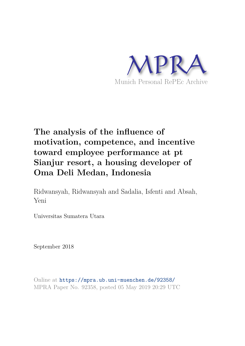

# **The analysis of the influence of motivation, competence, and incentive toward employee performance at pt Sianjur resort, a housing developer of Oma Deli Medan, Indonesia**

Ridwansyah, Ridwansyah and Sadalia, Isfenti and Absah, Yeni

Universitas Sumatera Utara

September 2018

Online at https://mpra.ub.uni-muenchen.de/92358/ MPRA Paper No. 92358, posted 05 May 2019 20:29 UTC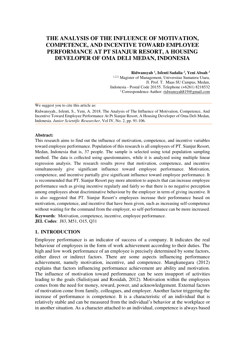# **THE ANALYSIS OF THE INFLUENCE OF MOTIVATION, COMPETENCE, AND INCENTIVE TOWARD EMPLOYEE PERFORMANCE AT PT SIANJUR RESORT, A HOUSING DEVELOPER OF OMA DELI MEDAN, INDONESIA**

**Ridwansyah** *<sup>1</sup>* **, Isfenti Sadalia** *<sup>2</sup>* **, Yeni Absah** *<sup>3</sup>* 1,2,3, Magister of Management, Universitas Sumatera Utara, Jl. Prof. T. Maas SU Campus, Medan, Indonesia - Postal Code 20155. Telephone [\(+6261\) 8218532](https://www.google.co.id/search?q=MM+USU&rlz=1C1CHNQ_enID584ID584&oq=MM+USU&aqs=chrome..69i57j0l5.2220j0j7&sourceid=chrome&ie=UTF-8)  *<sup>1</sup>*Correspondence Author: [ridwansyah819@gmail.com](mailto:ridwansyah819@gmail.com) 

We suggest you to cite this article as:

Ridwansyah., Isfenti, S., Yeni, A. 2018. The Analysis of The Influence of Motivation, Competence, And Incentive Toward Employee Performance At Pt Sianjur Resort, A Housing Developer of Oma Deli Medan, Indonesia. *Junior Scientific Researcher*, Vol IV, No. 2, pp. 91-106.

#### **Abstract:**

This research aims to find out the influence of motivation, competence, and incentive variables toward employee performance. Population of this research is all employees of PT. Sianjur Resort, Medan, Indonesia that is, 37 people. The sample is selected using total population sampling method. The data is collected using questionnaires, while it is analyzed using multiple linear regression analysis. The research results prove that motivation, competence, and incentive simultaneously give significant influence toward employee performance. Motivation, competence, and incentive partially give significant influence toward employee performance. It is recommended that PT. Sianjur Resort pay more attention to aspects that can increase employee performance such as giving incentive regularly and fairly so that there is no negative perception among employees about discriminative behaviour by the employer in term of giving incentive. It is also suggested that PT. Sianjur Resort's employees increase their performance based on motivation, competence, and incentive that have been given, such as increasing self-competence without waiting for the command from the employer, so self-performance can be more increased.

**Keywords**: Motivation, competence, incentive, employee performance. **JEL Codes**: J83, M51, O15, Q31

#### **1. INTRODUCTION**

Employee performance is an indicator of success of a company. It indicates the real behaviour of employees in the form of work achievement according to their duties. The high and low work performance of an employee is precisely determined by some factors, either direct or indirect factors. There are some aspects influencing performance achievement, namely motivation, incentive, and competence. Mangkunegara (2012) explains that factors influencing performance achievement are ability and motivation. The influence of motivation toward performance can be seen insupport of activities leading to the goals (Sulistiyani and Rosidah, 2012). Motivation within the employees comes from the need for money, reward, power, and acknowledgement. External factors of motivation come from family, colleagues, and employer. Another factor triggering the increase of performance is competence. It is a characteristic of an individual that is relatively stable and can be measured from the individual's behavior at the workplace or in another situation. As a character attached to an individual, competence is always based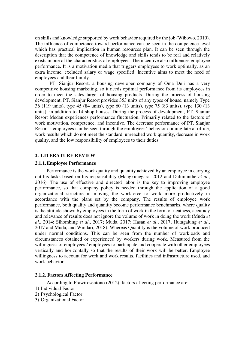on skills and knowledge supported by work behavior required by the job (Wibowo, 2010). The influence of competence toward performance can be seen in the competence level which has practical implication in human resources plan. It can be seen through the description that the competence of knowledge and skills tends to be real and relatively exists in one of the characteristics of employees. The incentive also influences employee performance. It is a motivation media that triggers employees to work optimally, as an extra income, excluded salary or wage specified. Incentive aims to meet the need of employees and their family.

PT. Sianjur Resort, a housing developer company of Oma Deli has a very competitive housing marketing, so it needs optimal performance from its employees in order to meet the sales target of housing products. During the process of housing development, PT. Sianjur Resort provides 353 units of any types of house, namely Type 36 (119 units), type 45 (84 units), type 60 (13 units), type 75 (83 units), type 130 (13 units), in addition to 14 shop houses. During the process of development, PT. Sianjur Resort Medan experiences performance fluctuation, Primarily related to the factors of work motivation, competence, and incentive. The decrease performance of PT. Sianjur Resort's employees can be seen through the employees' behavior coming late at office, work results which do not meet the standard, unreached work quantity, decrease in work quality, and the low responsibility of employees to their duties.

#### **2. LITERATURE REVIEW**

#### **2.1.1.Employee Performance**

Performance is the work quality and quantity achieved by an employee in carrying out his tasks based on his responsibility (Mangkunegara, 2012 and Dalimunthe *et al*., 2016). The use of effective and directed labor is the key to improving employee performance, so that company policy is needed through the application of a good organizational structure in moving the workforce to work more productively in accordance with the plans set by the company. The results of employee work performance, both quality and quantity become performance benchmarks, where quality is the attitude shown by employees in the form of work in the form of neatness, accuracy and relevance of results does not ignore the volume of work in doing the work (Muda *et al*., 2014; Sihombing *et al*., 2017; Muda, 2017; Hasan *et al*., 2017; Hutagalung *et al*., 2017 and Muda, and Windari, 2018). Whereas Quantity is the volume of work produced under normal conditions. This can be seen from the number of workloads and circumstances obtained or experienced by workers during work. Measured from the willingness of employees / employees to participate and cooperate with other employees vertically and horizontally so that the results of their work will be better. Employee willingness to account for work and work results, facilities and infrastructure used, and work behavior.

#### **2.1.2. Factors Affecting Performance**

According to Prawirosentono (2012), factors affecting performance are:

- 1) Individual Factor
- 2) Psychological Factor
- 3) Organizational Factor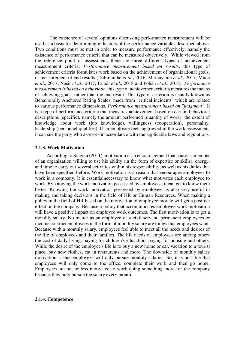The existence of several opinions discussing performance measurement will be used as a basis for determining indicators of the performance variables described above. Two conditions must be met in order to measure performance effectively, namely the existence of performance criteria that can be measured objectively. While viewed from the reference point of assessment, there are three different types of achievement measurement criteria: *Performance measurement based on results*, this type of achievement criteria formulates work based on the achievement of organizational goals, or measurement of end results (Dalimunthe *et al*., 2016; Marhayanie *et al*., 2017; Muda *et al*., 2017; Nasir *et al*., 2017; Eriadi *et al*., 2018 and Pohan *et al*., 2018). *Performance measurement is based on behaviour*, this type of achievement criteria measures the means of achieving goals, rather than the end result. This type of criterion is usually known as Behaviorally Anchored Rating Scales, made from "critical incidents" which are related to various performance dimensions. *Performance measurement based on "judgment"*. It is a type of performance criteria that measures achievement based on certain behavioral descriptions (specific), namely the amount performed (quantity of work), the extent of knowledge about work (job knowledge), willingness (cooperation), personality, leadership (personnel qualities). If an employee feels aggrieved in the work assessment, it can sue the party who assesses in accordance with the applicable laws and regulations.

#### **2.1.3. Work Motivation**

 According to Siagian (2011), motivation is an encouragement that causes a member of an organization willing to use his ability (in the form of expertise or skills), energy, and time to carry out several activities within his responsibility, as well as his duties that have been specified before. Work motivation is a reason that encourages employees to work in a company. It is essentialnecessary to know what motivates each employee to work. By knowing the work motivation possessed by employees, it can get to know them better. Knowing the work motivation possessed by employees is also very useful in making and taking decisions in the field of HR or Human Resources. When making a policy in the field of HR based on the motivation of employee morale will get a positive effect on the company. Because a policy that accommodates employee work motivation will have a positive impact on employee work outcomes. The first motivation is to get a monthly salary. No matter as an employee of a civil servant, permanent employees or income contract employees in the form of monthly salary are things that employees want. Because with a monthly salary, employees feel able to meet all the needs and desires of the life of employees and their families. The life needs of employees are among others the cost of daily living, paying for children's education, paying for housing and others. While the desire of the employee's life is to buy a new home or car, vacation to a tourist place, buy new clothes, eat in restaurants and more. The downside of monthly salary motivation is that employees will only pursue monthly salaries. So, it is possible that employees will only come to the office, complete their work and then go home. Employees are not or less motivated to work doing something more for the company because they only pursue the salary every month.

#### **2.1.4. Competence**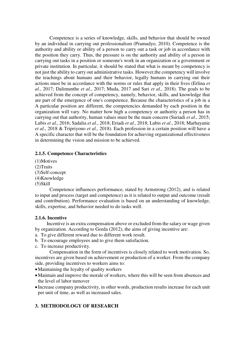Competence is a series of knowledge, skills, and behavior that should be owned by an individual in carrying out professionalism (Pramudyo, 2010). Competence is the authority and ability or ability of a person to carry out a task or job in accordance with the position they carry. Thus, the pressure is on the authority and ability of a person in carrying out tasks in a position or someone's work in an organization or a government or private institution. In particular, it should be stated that what is meant by competency is not just the ability to carry out administrative tasks. However,the competency will involve the teachings about humans and their behavior, legally humans in carrying out their actions must be in accordance with the norms or rules that apply in their lives (Erlina *et al*., 2017; Dalimunthe *et al*., 2017; Muda, 2017 and Sari *et al*., 2018). The goals to be achieved from the concept of competency, namely, behavior, skills, and knowledge that are part of the emergence of one's competence. Because the characteristics of a job in a A particular position are different, the competencies demanded by each position in the organization will vary. No matter how high a competency or authority a person has in carrying out that authority, human values must be the main concern (Suriadi *et al*., 2015; Lubis *et al*., 2016; Sadalia *et al*., 2018; Eriadi *et al.,* 2018; Lubis *et al*., 2018; Marhayanie *et al*., 2018 & Tripriyono *et al.,* 2018). Each profession in a certain position will have a A specific character that will be the foundation for achieving organizational effectiveness in determining the vision and mission to be achieved.

# **2.1.5. Competence Characteristics**

(1)Motives (2)Traits (3)Self-concept (4)Knowledge (5)Skill

Competence influences performance, stated by Armstrong (2012), and is related to input and process (target and competence) as it is related to output and outcome (result and contribution). Performance evaluation is based on an understanding of knowledge, skills, expertise, and behavior needed to do tasks well.

# **2.1.6. Incentive**

 Incentive is an extra compensation above or excluded from the salary or wage given by organization. According to Gorda (2012), the aims of giving incentive are:

- a. To give different reward due to different work result.
- b. To encourage employees and to give them satisfaction.
- c. To increase productivity.

Compensation in the form of incentives is closely related to work motivation. So, incentives are given based on achievement or production of a worker. From the company side, providing incentives to workers aims to:

- •Maintaining the loyalty of quality workers
- •Maintain and improve the morale of workers, where this will be seen from absences and the level of labor turnover
- Increase company productivity, in other words, production results increase for each unit per unit of time, as well as increased sales.

# **3. METHODOLOGY OF RESEARCH**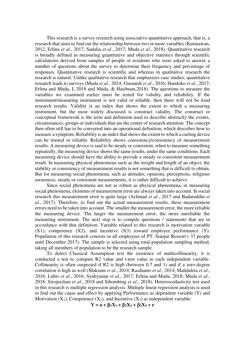This research is a survey research using associative quantitative approach, that is, a research that aims to find out the relationship between two or more variables (Kurniawan, 2012, Erlina *et al*., 2017; Sadalia *et al*., 2017; Muda *et al*., 2018). Quantitative research is broadly defined as measuring quantitative and objective statistics through scientific calculations derived from samples of people or residents who were asked to answer a number of questions about the survey to determine their frequency and percentage of responses. Quantitative research is scientific and whereas in qualitative research the research is natural. Unlike qualitative research that emphasizes case studies, quantitative research leads to surveys (Muda *et al*., 2014; Gusnardi *et al*., 2016; Handoko *et al*., 2017; Erlina and Muda, I, 2018 and Muda, & Hasibuan,2018). The questions to measure the variables we examined earlier must be tested for validity and reliability. If the instrument/measuring instrument is not valid or reliable, then there will not be kind research results. Validity is an index that shows the extent to which a measuring instrument, but the most widely discussed is construct validity. The construct or conceptual framework is the term and definition used to describe abstractly the events, circumstances, groups or individuals that are the center of research attention. The concept then often still has to be converted into an operational definition, which describes how to measure a symptom. Reliability is an index that shows the extent to which a curling device can be trusted or reliable. Reliability shows consistency/consistency of measurement results. A measuring device is said to be steady or consistent, when to measure something repeatedly, the measuring device shows the same results, under the same conditions. Each measuring device should have the ability to provide a steady or consistent measurement result. In measuring physical phenomena such as the weight and length of an object, the stability or consistency of measurement results is not something that is difficult to obtain. But for measuring social phenomena, such as attitudes, opinions, perceptions, religious awareness, steady or consistent measurements, it is rather difficult to achieve.

 Since social phenomena are not as robust as physical phenomena, in measuring social phenomena, elements of measurement error are always taken into account. In social research this measurement error is quite large (Achmad *et al*., 2017 and Badaruddin *et al*., 2017). Therefore, to find out the actual measurement results, these measurement errors need to be taken into account. The smaller the measurement error, the more reliable the measuring device. The larger the measurement error, the more unreliable the measuring instrument. The next step is to compile questions / statements that are in accordance with that definition. Variable related to this research is motivation variable  $(X1)$ , competence  $(X2)$ , and incentive  $(X3)$  toward employee performance  $(Y)$ . Population of this research consists in all employees of PT. Sianjur Ressort ( 37 people until December 2017). The sample is selected using total population sampling method, taking all members of population to be the research sample.

 To detect Classical Assumption test the existence of multicollinearity, it is conducted a test to compare R2 value and t-test value to each independent variable. Collinearity is often suspected if R2 is high (between 0.7 and 1) and if a zero-degree correlation is high as well (Maksum *et al*., 2014; Rasdianto *et al*., 2014; Mahdaleta *et al*., 2016; Lubis *et al*., 2016; Syahyunan *et al*., 2017; Erlina and Muda, 2018; Muda *et al*., 2018; Sirojuzilam *et al*., 2018 and Sihombing *et al*., 2018). Heteroscedasticity test used in this research is multiple regression analysis. Multiple linear regression analysis is used to find out the cause and effect by applying Performance as dependent variable (Y) and Motivation  $(X_1)$ , Competence  $(X_2)$ , and Incentive  $(X_3)$  as independent variable.

$$
Y = a + \beta_1 X_1 + \beta_2 X_2 + \beta_3 X_3 + e
$$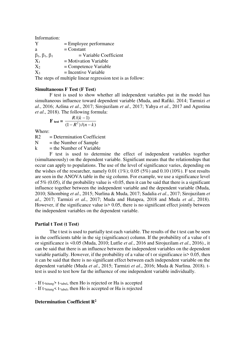Information:

| Y                                 | $=$ Employee performance |
|-----------------------------------|--------------------------|
| a                                 | $=$ Constant             |
| $\beta_1$ , $\beta_1$ , $\beta_1$ | $=$ Variable Coefficient |
| $X_1$                             | $=$ Motivation Variable  |
| $X_2$                             | $=$ Competence Variable  |
| $X_3$                             | $=$ Incentive Variable   |

The steps of multiple linear regression test is as follow:

#### **Simultaneous F Test (F Test)**

F test is used to show whether all independent variables put in the model has simultaneous influence toward dependent variable (Muda, and Rafiki. 2014; Tarmizi *et al*., 2016; Azlina *et al*., 2017; Sirojuzilam *et al*., 2017; Yahya *et al*., 2017 and Agustina *et al*., 2018). The following formula:

$$
\mathbf{F}_{\text{test}} = \frac{R/(k-1)}{(1 - R^2)/(n - k)}
$$

Where:

R2 = Determination Coefficient

 $N =$  the Number of Sample

 $k =$  the Number of Variable

F test is used to determine the effect of independent variables together (simultaneously) on the dependent variable. Significant means that the relationships that occur can apply to populations. The use of the level of significance varies, depending on the wishes of the researcher, namely 0.01 (1%); 0.05 (5%) and 0.10 (10%). F test results are seen in the ANOVA table in the sig column. For example, we use a significance level of 5% (0.05), if the probability value is  $\leq 0.05$ , then it can be said that there is a significant influence together between the independent variable and the dependent variable (Muda, 2010; Sihombing *et al*., 2015; Nurlina & Muda, 2017; Sadalia *et al*., 2017; Sirojuzilam *et al*., 2017; Tarmizi *et al*., 2017; Muda and Hutapea, 2018 and Muda *et al*., 2018). However, if the significance value is  $> 0.05$ , there is no significant effect jointly between the independent variables on the dependent variable.

#### **Partial t Test (t Test)**

The t test is used to partially test each variable. The results of the t test can be seen in the coefficients table in the sig (significance) column. If the probability of a value of t or significance is <0.05 (Muda, 2010; Lutfie *et al*., 2016 and Sirojuzilam *et al*., 2016)., it can be said that there is an influence between the independent variables on the dependent variable partially. However, if the probability of a value of t or significance is> 0.05, then it can be said that there is no significant effect between each independent variable on the dependent variable (Muda *et al*., 2015; Tarmizi *et al*., 2016; Muda & Nurlina. 2018). ttest is used to test how far the influence of one independent variable individually.

- If t-hitung> t-tabel, then Ho is rejected or Ha is accepted

- If t-hitung  $\leq$  t-tabel, then Ho is accepted or Ha is rejected

# **Determination Coefficient R2**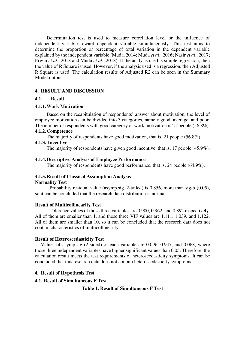Determination test is used to measure correlation level or the influence of independent variable toward dependent variable simultaneously. This test aims to determine the proportion or percentage of total variation in the dependent variable explained by the independent variable (Muda, 2014; Muda *et al*., 2016; Nasir *et al*., 2017; Erwin *et al*., 2018 and Muda *et al*., 2018). If the analysis used is simple regression, then the value of R Square is used. However, if the analysis used is a regression, then Adjusted R Square is used. The calculation results of Adjusted R2 can be seen in the Summary Model output.

# **4. RESULT AND DISCUSSION**

## **4.1. Result**

## **4.1.1.Work Motivation**

Based on the recapitulation of respondents' answer about motivation, the level of employee motivation can be divided into 3 categories, namely good, average, and poor. The number of respondents with good category of work motivation is 21 people (56.8%).

# **4.1.2.Competence**

The majority of respondents have good motivation, that is, 21 people (56.8%).

## **4.1.3. Incentive**

The majority of respondents have given good incentive, that is, 17 people (45.9%).

# **4.1.4.Descriptive Analysis of Employee Performance**

The majority of respondents have good performance, that is, 24 people (64.9%).

# **4.1.5.Result of Classical Assumption Analysis**

#### **Normality Test**

Probability residual value (asymp.sig. 2-tailed) is 0.856, more than sig- $\alpha$  (0.05), so it can be concluded that the research data distribution is normal.

#### **Result of Multicollinearity Test**

Tolerance values of those three variables are 0.900, 0.962, and 0.892 respectively. All of them are smaller than 1, and those three VIF values are 1.111, 1.039, and 1.122. All of them are smaller than 10, so it can be concluded that the research data does not contain characteristics of multicollinearity.

#### **Result of Heteroscedasticity Test**

Values of asymp.sig (2-sided) of each variable are 0.096, 0.947, and 0.068, where those three independent variables have higher significant values than 0.05. Therefore, the calculation result meets the test requirements of heteroscedasticity symptoms. It can be concluded that this research data does not contain heteroscedasticity symptoms.

# **4. Result of Hypothesis Test**

#### **4.1. Result of Simultaneous F Test**

**Table 1. Result of Simultaneous F Test**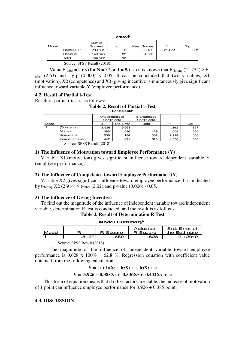**ANOVA<sup>b</sup>**

| Model                       |            | Sum of<br>Squares | df | Mean Square |        | Sig.              |
|-----------------------------|------------|-------------------|----|-------------|--------|-------------------|
|                             | Regression | 289.381           | З  | 96.460      | 21.272 | .000 <sup>a</sup> |
|                             | Residual   | 149.646           | 33 | 4.535       |        |                   |
|                             | Total      | 439.027           | 36 |             |        |                   |
| Source: SPSS Result (2018). |            |                   |    |             |        |                   |

Value F-tabel = 2.63 (for N = 37 or df=99), so it is known that F-hitung (21.272) > Ftabel  $(2.63)$  and sig-p  $(0.000) \le 0.05$ . It can be concluded that two variables, X1 (motivation), X2 (competence) and X3 (giving incentive) simultaneously give significant influence toward variable Y (employee performance).

#### **4.2. Result of Partial t-Test**

Result of partial t-test is as follows:

#### **Table 2. Result of Partial t-Test Coefficients<sup>a</sup>**

|       |                             | Unstandardized<br>Coefficients |            | Standardized<br>Coefficients |       |      |
|-------|-----------------------------|--------------------------------|------------|------------------------------|-------|------|
| Model |                             | в                              | Std. Error | Beta                         |       | Sig. |
|       | (Constant)                  | 3.926                          | 9.998      |                              | .393  | .697 |
|       | Motivasi                    | .385                           | .096       | .429                         | 4.004 | .000 |
|       | Kompetensi                  | .536                           | .184       | .302                         | 2.914 | .006 |
|       | Pemberian Insentif          | .442                           | .091       | .523                         | 4.856 | .000 |
|       | Source: SPSS Result (2018). |                                |            |                              |       |      |

#### **1) The Influence of Motivation toward Employee Performance (Y)**

Variable XI (motivation) gives significant influence toward dependent variable Y (employee performance).

#### **2) The Influence of Competence toward Employee Performance (Y)**

Variable X2 gives significant influence toward employee performance. It is indicated by t-hitung  $X2$  (2.914) > t-tabel (2.02) and p-value (0.006) <0.05.

#### **3) The Influence of Giving Incentive**

To find out the magnitude of the influence of independent variable toward independent variable, determination R test is conducted, and the result is as follows:

**Table 3. Result of Determination R Test** 

| Model Summary |                  |          |                      |                               |  |
|---------------|------------------|----------|----------------------|-------------------------------|--|
| Model         |                  | R Square | Adjusted<br>R Square | Std. Error of<br>the Estimate |  |
|               | 812 <sup>a</sup> | .659     | .628                 | 2.12949                       |  |

Source: SPSS Result (2018).

The magnitude of the influence of independent variable toward employee performance is  $0.628 \times 100\% = 62.8\%$ . Regression equation with coefficient value obtained from the following calculation:

# $Y = a + b_1X_1 + b_2X_2 + b_3X_3 + e$

# $Y = 3.926 + 0.385X_1 + 0.536X_2 + 0.442X_3 + e$

This form of equation means that if other factors are stable, the increase of motivation of 1 point can influence employee performance for 3.926 + 0.385 point.

## **4.3. DISCUSSION**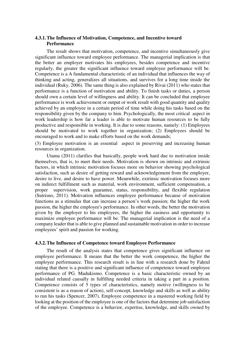# **4.3.1.The Influence of Motivation, Competence, and Incentive toward Performance**

 The result shows that motivation, competence, and incentive simultaneously give significant influence toward employee performance. The managerial implication is that the better an employer motivates his employees, besides competence and incentive regularly, the greater the significant influence toward employee performance will be. Competence is a A fundamental characteristic of an individual that influences the way of thinking and acting, generalizes all situations, and survives for a long time inside the individual (Ruky, 2006). The same thing is also explained by Rivai (2011) who states that performance is a function of motivation and ability. To finish tasks or duties, a person should own a certain level of willingness and ability. It can be concluded that employee performance is work achievement or output or work result with good quantity and quality achieved by an employee in a certain period of time while doing his tasks based on the responsibility given by the company to him. Psychologically, the most critical aspect in work leadership is how far a leader is able to motivate human resources to be fully productive and responsible in working. It is due to some reasons, namely: (1) Employees should be motivated to work together in organization; (2) Employees should be encouraged to work and to make efforts based on the work demands;

(3) Employee motivation is an essential aspect in preserving and increasing human resources in organization.

 Utama (2011) clarifies that basically, people work hard due to motivation inside themselves, that is, to meet their needs. Motivation is shown on intrinsic and extrinsic factors, in which intrinsic motivation focuses more on behavior showing psychological satisfaction, such as desire of getting reward and acknowledgement from the employer, desire to live, and desire to have power. Meanwhile, extrinsic motivation focuses more on indirect fulfillment such as material, work environment, sufficient compensation, a proper supervision, work guarantee, status, responsibility, and flexible regulation (Sutrisno, 2011). Motivation influences employee performance because of motivation functions as a stimulus that can increase a person's work passion; the higher the work passion, the higher the employee's performance. In other words, the better the motivation given by the employer to his employees, the higher the easiness and opportunity to maximize employee performance will be. The managerial implication is the need of a company leader that is able to give planned and sustainable motivation in order to increase employees' spirit and passion for working.

#### **4.3.2.The Influence of Competence toward Employee Performance**

 The result of the analysis states that competence gives significant influence on employee performance. It means that the better the work competence, the higher the employee performance. This research result is in line with a research done by Fahrul stating that there is a positive and significant influence of competence toward employee performance of PG. Madukismo. Competence is a basic characteristic owned by an individual related causally in fulfilling needed criteria in taking a part in a position. Competence consists of 5 types of characteristics, namely motive (willingness to be consistent is as a reason of action), self-concept, knowledge and skills as well as ability to run his tasks (Spencer, 2007). Employee competence in a mastered working field by looking at the position of the employee is one of the factors that determine job satisfaction of the employee. Competence is a behavior, expertise, knowledge, and skills owned by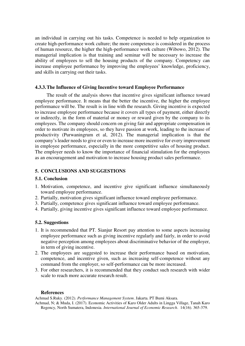an individual in carrying out his tasks. Competence is needed to help organization to create high-performance work culture; the more competence is considered in the process of human resource, the higher the high-performance work culture (Wibowo, 2012). The managerial implication is that training and seminar will be necessary to increase the ability of employees to sell the housing products of the company. Competency can increase employee performance by improving the employees' knowledge, proficiency, and skills in carrying out their tasks.

# **4.3.3.The Influence of Giving Incentive toward Employee Performance**

 The result of the analysis shows that incentive gives significant influence toward employee performance. It means that the better the incentive, the higher the employee performance will be. The result is in line with the research. Giving incentive is expected to increase employee performance because it covers all types of payment, either directly or indirectly, in the form of material or money or reward given by the company to its employees. The company should concern on giving fair and appropriate compensation in order to motivate its employees, so they have passion at work, leading to the increase of productivity (Purwaningrum et al, 2012). The managerial implication is that the company's leader needs to give or even to increase more incentive for every improvement in employee performance, especially in the more competitive sales of housing product. The employer needs to know the importance of financial stimulation for the employees as an encouragement and motivation to increase housing product sales performance.

# **5. CONCLUSIONS AND SUGGESTIONS**

# **5.1. Conclusion**

- 1. Motivation, competence, and incentive give significant influence simultaneously toward employee performance.
- 2. Partially, motivation gives significant influence toward employee performance.
- 3. Partially, competence gives significant influence toward employee performance.
- 4. Partially, giving incentive gives significant influence toward employee performance.

# **5.2. Suggestions**

- 1. It is recommended that PT. Sianjur Resort pay attention to some aspects increasing employee performance such as giving incentive regularly and fairly, in order to avoid negative perception among employees about discriminative behavior of the employer, in term of giving incentive.
- 2. The employees are suggested to increase their performance based on motivation, competence, and incentive given, such as increasing self-competence without any command from the employer, so self-performance can be more increased.
- 3. For other researchers, it is recommended that they conduct such research with wider scale to reach more accurate research result.

#### **References**

Achmad S.Ruky. (2012). *Performance Management System*. Jakarta. PT Bumi Aksara.

Achmad, N; & Muda, I. (2017). Economic Activities of Karo Older Adults in Lingga Village, Tanah Karo Regency, North Sumatera, Indonesia. *International Journal of Economic Research*. 14(16). 365-379.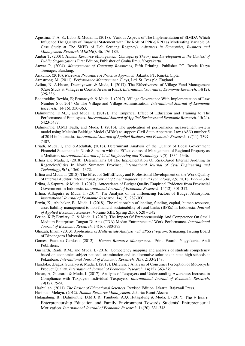- Agustina. T. A. S., Lubis & Muda., I., (2018). Various Aspects of The Implementation of SIMDA Which Influence The Quality of Financial Statement with The Role of PPK-SKPD as Moderating Variable (A Case Study at The SKPD of Deli Serdang Regency). *Advances in Economics, Business and Management Research (AEBMR)*. 46. 176-183.
- Ambar T, (2001). *Human Resource Management, Concepts of Theory and Development in the Context of Public Organizations* First Edition, Publisher of Graha Ilmu, Yogyakarta.
- Anwar P, (2004). *Management of Company Resources*, Fifth Printing, Publisher PT. Rosda Karya Teenager, Bandung.

Arikunto, (2010). *Research Procedure A Practice Approach*, Jakarta. PT. Rineka Cipta.

Armstrong. M, (2011). *Performance Management*. Clays, Ltd. St. Ives ple, England.

- Azlina, N. A.Hasan, Desmiyawati & Muda, I. (2017). The Effectiveness of Village Fund Management (Case Study at Villages in Coastal Areas in Riau). *International Journal of Economic Research*. 14(12). 325-336.
- Badaruddin; Revida, E; Ermansyah & Muda, I. (2017). Village Governance With Implementation of Law Number 6 of 2014 On The Village and Village Administration. *International Journal of Economic Research*. 14(16). 350-363.
- Dalimunthe, D.M.J., and Muda, I. (2017). The Empirical Effect of Education and Training to The Performance of Employees. *International Journal of Applied Business and Economic Research*. 15(24). 5423-5437.
- Dalimunthe, D.M.J.,Fadli, and Muda, I. (2016). The application of performance measurement system model using Malcolm Baldrige Model (MBM) to support Civil State Apparatus Law (ASN) number 5 of 2014 in Indonesia. *International Journal of Applied Business and Economic Research*. *14*(11). 7397- 7407.
- Eriadi, Muda, I, and S.Abdullah, (2018). Determinant Analysis of the Quality of Local Government Financial Statements in North Sumatra with the Effectiveness of Management of Regional Property as a Mediator, *International Journal of Civil Engineering and Technology*, 9(5). 1334–1346.
- Erlina and Muda, I, (2018). Determinants Of The Implementation Of Risk-Based Internal Auditing In Regencies/Cities In North Sumatera Province, *International Journal of Civil Engineering and Technology*, 9(5), 1360 - 1372.
- Erlina and Muda, I, (2018). The Effect of Self Efficacy and Professional Development on the Work Quality of Internal Auditor, *International Journal of Civil Engineering and Technology*, 9(5), 2018, 1292–1304.
- Erlina, A.Saputra & Muda, I. (2017). Antecedents of Budget Quality Empirical Evidence from Provincial Government In Indonesia. *International Journal of Economic Research*. 14(12). 301-312.
- Erlina. A.Saputra & Muda, I. (2017). The Analysis of the Influencing Factors of Budget Absorption. *International Journal of Economic Research*. 14(12). 287-300.
- Erwin, K., Abubakar, E., Muda, I. (2018). The relationship of lending, funding, capital, human resource, asset liability management to non-financial sustainability of rural banks (BPRs) in Indonesia*. Journal of Applied Economic Sciences*, Volume XIII, Spring 2(56). 520 – 542.
- Ferine, K.F; Ermiaty, C. & Muda, I. (2017). The Impact Of Entrepreneurship And Competence On Small Medium Enterprises Tangan Di Atas (TDA) Medan Entrepreneurs' Work Performance. *International Journal of Economic Research*. 14(16). 380-393.
- Ghozali, Imam. (2013). *Application of Multivariate Analysis with SPSS Program*. Semarang: Issuing Board of Diponegoro University
- Gomes, Faustino Cardoso. (2012). *Human Resource Management*, Print. Fourth. Yogyakarta. Andi Publishers.
- Gusnardi, Riadi, R.M., and Muda, I. (2016). Competency mapping and analysis of students competency based on economics subject national examination and its alternative solutions in state high schools at Pekanbaru. *International Journal of Economic Research. 3*(5). 2133-2148.
- Handoko, ,Bagus. Sunaryo & Muda, I. (2017). Difference Analysis of Consumer Perception of Motorcycle Product Quality. *International Journal of Economic Research*. 14(12). 363-379.
- Hasan, A, Gusnardi & Muda, I. (2017). Analysis of Taxpayers and Understanding Awareness Increase in Compliance with Taxpayers Individual Taxpayers. *International Journal of Economic Research*. *14*(12). 75-90.
- Hasbullah. (2011). *The Basics of Educational Sciences*. Revised Edition. Jakarta: Rajawali Press.

Hasibuan Melayu. (2012). *Human Resource Management*. Jakarta: Bumi Aksara

Hutagalung, B.; Dalimunthe, D.M.J, R., Pambudi, A.Q. Hutagalung & Muda, I. (2017). [The Effect of](http://serialsjournals.com/articlesview.php?volumesno_id=1384&article_id=21577&volumes_id=1068&journals_id=41)  Enterpreneurship [Education and Family Environment Towards Students' Entrepreneurial](http://serialsjournals.com/articlesview.php?volumesno_id=1384&article_id=21577&volumes_id=1068&journals_id=41)  [Motivation](http://serialsjournals.com/articlesview.php?volumesno_id=1384&article_id=21577&volumes_id=1068&journals_id=41). *International Journal of Economic Research*. 14(20). 331-348.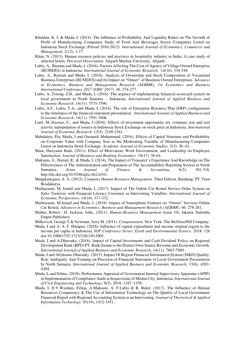- Khaldun, K. I. & Muda, I. (2014). The Influence of Profitability And Liquidity Ratios on The Growth of Profit of Manufacturing Companies Study of Food And Beverages Sector Companies Listed on Indonesia Stock Exchange (Period 2010-2012). *International Journal of Economics, Commerce and Management*. 2(12). 1-17.
- Khan, N. (2013). Human resource policies and practices in hospitality industry in India: A case study of selected hotels. *Doctoral Dissertation*. Aligarh Muslim University, Aligarh.
- Lubis, A., Rustam and Muda, I. (2016). Factors Affecting The Cost of Agency of Village Owned Enterprise (BUMDES) in Indonesia. *International Journal of Economic Research*. 14(16). 334-348.
- Lubis, A., Rustam and Muda, I. (2018). Analysis of Ownership and Stock Composition of Vocational Business Enterprises (BUMDES) and Its Impact on "Omset" of Business Owned Enterprises. *Advances in Economics, Business and Management Research (AEBMR)*, *1st Economics and Business International Conference 2017 (EBIC 2017)*. 46. 274-277.
- Lubis, A.,Torong, Z.B., and Muda, I. (2016). The urgency of implementing balanced scorecard system on local government in North Sumatra – Indonesia. *International Journal of Applied Business and Economic Research*. 14(11). 7575-7590.
- Lubis, A.F., Lubis, T.A., and Muda, I. (2016). The role of Enterprise Resource Plan (ERP) configuration to the timeliness of the financial statement presentation. *International Journal of Applied Business and Economic Research*. 14(11). 7591-7608.
- Lutfi, M.,Nazwar, C., and Muda, I (2016). Effects of investment opportunity set, company size and real activity manipulation of issuers in Indonesia Stock Exchange on stock price in Indonesia. *International Journal of Economic Research*. 13(5). 2149-2161.
- Mahdaleta, Ela; Muda, I and Gusnardi Muhammad. (2016). Effects of Capital Structure and Profitability on Corporate Value with Company Size as the Moderating Variable of Manufacturing Companies Listed on Indonesia Stock Exchange. *Academic Journal of Economic Studies*. 2(3). 30–43.
- Main, Hariyanta Budi. (2011). Effect of Motivation, Work Environment, and Leadership on Employee Satisfaction. *Journal of Business and Banking Economics*. 19(17). 56-64.
- Maksum, A., Hamid, R., & Muda, I. (2014). The Impact of Treasurer's Experience And Knowledge on The Effectiveness of The Administration and Preparation of The Accountability Reporting System in North<br>Sumatera. Asian Journal of Finance & Accounting. 6(2), 301-318. Sumatera. *Asian Journal of Finance & Accounting*, 6(2), 301-318. http://dx.doi.org/10.5296/ajfa.v6i2.6341.
- Mangkunegara, A. A. (2012). *Company Human Resource Management*. Third Edition. Bandung. PT. Teen Rosdakarya.
- Marhayanie, M. Ismail and Muda, I, (2017). Impact of The Online Car Rental Service Order System on Sales Turnover with Financial Literacy Customer as Intervening Variables. *International Journal of Economic Perspectives.* 14(16). 317-332.
- Marhayanie, M.Ismail and Muda, I, (2018). Impact of Smartphone Features on "Omset" Services Online Car Rental. *Advances in Economics, Business and Management Research (AEBMR)*. 46. 278-281.
- Mathis, Robert H. Jackson, John., (2011). *Human Resource Management* (issue 10). Jakarta: Salemba Empat Publishers.
- Milkovich, George T & Newman, Jerry M. (2011). *Compensation*. New York: The McGrawHill Company.
- Muda, I and A. A. F. Hutapea. (2018). Influence of capital expenditure and income original region to the income per capita in Indonesia. I*OP Conference Series: Earth and Environmental Science*. 2018. 126 doi:10.1088/1755-1315/126/1/012065.
- Muda, I and A.Dharsuky, (2016). Impact of Capital Investments and Cash Dividend Policy on Regional Development Bank (BPD) PT. Bank Sumut to the District Own Source Revenue and Economic Growth. *International Journal of Applied Business and Economic Research*, 14(11). 7863-7880.
- Muda, I and Abykusno Dharsuky. (2015). Impact Of Region Financial Information System (SIKD) Quality, Role Ambiguity And Training on Precision of Financial Statement of Local Government Presentation In North Sumatra. *International Journal of Applied Business and Economic Research*, 13(6). 4283- 4304.
- Muda, I, and Erlina, (2018). Performance Appraisal of Government Internal Supervisory Apparatus (APIP) in Implementation of Compliance Audit at Inspectorate of Medan City, Indonesia, *International Journal of Civil Engineering and Technology*, 9(5), 2018, 1347–1359.
- Muda, I, D.Y.Wardani, Erlina, A.Maksum, A. F.Lubis & R. Bukit. (2017). The Influence of Human Resources Competency & The Use of Information Technology on The Quality of Local Government Financial Report with Regional Accounting System as an Intervening. *Journal of Theoretical & Applied Information Technology. 95*(19), 1432-1451.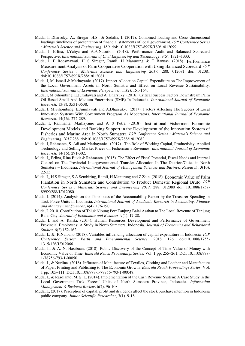- Muda, I, Dharsuky. A., Siregar, H.S., & Sadalia, I. (2017). Combined loading and Cross-dimensional loadings timeliness of presentation of financial statements of local government. *IOP Conference Series : Materials Science and Engineering. 180*. doi: 10.1088/1757-899X/180/1/012099.
- Muda, I, Erlina, I.Yahya and A.A.Nasution, (2018). Performance Audit and Balanced Scorecard Perspective, *International Journal of Civil Engineering and Technology*, 9(5). 1321–1333.
- Muda, I, F Roosmawati, H S Siregar, Ramli, H Manurung & T Banuas. (2018). [Performance](http://iopscience.iop.org/article/10.1088/1757-899X/288/1/012081)  [Measurement Analysis of Palm Cooperative Cooperation with Using Balanced Scorecard](http://iopscience.iop.org/article/10.1088/1757-899X/288/1/012081). *IOP Conference Series : Materials Science and Engineering 2017.* 288. 012081 doi: 012081 doi:10.1088/1757-899X/288/1/012081.
- Muda, I, M. Ismail & Marhayanie. (2017). Impact Allocation Capital Expenditure on The Improvement of the Local Government Assets in North Sumatra and Effect on Local Revenue Sustainability. *International Journal of Economic Perspectives.* 11(2). 151-164.
- Muda, I, M.Sihombing, E.Jumilawati and A. Dharsuky. (2016). Critical Success Factors Downstream Palm Oil Based Small And Medium Enterprises (SME) In Indonesia. *International Journal of Economic Research.* 13(8). 3531-3538.
- Muda, I, M.Sihombing, E.Jumilawati and A.Dharsuky. (2017). Factors Affecting The Success of Local Innovation Systems With Government Programs As Moderators. *International Journal of Economic Research*. 14(16). 272-289.
- Muda, I, Rahmanta, Marhayanie and A S Putra. (2018). [Institutional Fishermen Economic](http://iopscience.iop.org/article/10.1088/1757-899X/288/1/012082)  [Development Models and Banking Support in the Development of the Innovation System of](http://iopscience.iop.org/article/10.1088/1757-899X/288/1/012082)  [Fisheries and Marine Area in North Sumatera](http://iopscience.iop.org/article/10.1088/1757-899X/288/1/012082). *IOP Conference Series : Materials Science and Engineering. 2017.*288. doi:10.1088/1757-899X/288/1/012082.
- Muda, I, Rahmanta, S. Adi and Marhayanie. (2017). The Role of Working Capital, Productivity, Applied Technology and Selling Market Prices on Fisherman's Revenues. *International Journal of Economic Research*. 14(16). 291-302.
- Muda, I,, Erlina, Rina Bukit & Rahmanta. (2015). The Effect of Fiscal Potential, Fiscal Needs and Internal Control on The Provincial Intergovernmental Transfer Allocation In The Districts/Cities in North Sumatera – Indonesia. *International Journal of Management Sciences and Business Research*. 3(10). 22-35.
- Muda, I,, H S Siregar, S A Sembiring, Ramli, H Manurung and Z Zein. (2018). [Economic Value of Palm](http://iopscience.iop.org/article/10.1088/1757-899X/288/1/012080)  [Plantation in North Sumatera and Contribution to Product Domestic Regional Bruto](http://iopscience.iop.org/article/10.1088/1757-899X/288/1/012080). *IOP Conference Series : Materials Science and Engineering 2017.* 288. 012080 doi: 10.1088/1757- 899X/288/1/012080.
- Muda, I. (2014). Analysis on the Timeliness of the Accountability Report by the Treasurer Spending in Task Force Units in Indonesia. *International Journal of Academic Research in Accounting, Finance and Management Sciences*, 4(4). 176-190.
- Muda, I. 2010. Contribution of Teluk Nibung Port Tanjung Balai Asahan to The Local Revenue of Tanjung Balai City. *Journal of Economics and Business*. 9(1). 17-28.
- Muda, I. and A. Rafiki. (2014). Human Resources Development and Performance of Government Provincial Employees: A Study in North Sumatera, Indonesia. *Journal of Economics and Behavioral Studies*. 6(2).152-162.
- Muda, I., & R.Naibaho (2018). Variables influencing allocation of capital expenditure in Indonesia*. IOP Conference Series: Earth and Environmental Science*. 2018. 126. doi:10.1088/1755- 1315/126/1/012066.
- Muda, I., & A. N. Hasibuan. (2018). Public Discovery of the Concept of Time Value of Money with Economic Value of Time. *Emerald Reach Proceedings Series*. Vol. 1 pp. 255–261. DOI 10.1108/978- 1-78756-793-1-00050.
- Muda, I., & Nurlina. (2018). Influence of Manufacture of Textiles, Clothing and Leather and Manufacture of Paper, Printing and Publishing to The Economic Growth. *Emerald Reach Proceedings Series*. Vol. 1 pp. 105–111. DOI 10.1108/978-1-78756-793-1-00048.
- Muda, I., & Rasdianto, M. S. L. (2014). Implementation of the Cash Revenue System: A Case Study in the Local Government Task Forces' Units of North Sumatera Province, Indonesia. *Information Management & Business Review*, 6(2). 96-108.
- Muda, I., (2017). Perception of capital, profit and dividends affect the stock purchase intention in Indonesia public company. *Junior Scientific Researcher*, 3(1). 9-18.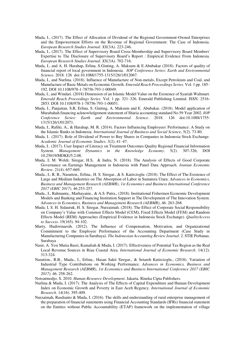- Muda, I., (2017). The Effect of Allocation of Dividend of the Regional Government-Owned Enterprises and the Empowerment Efforts on the Revenue of Regional Government: The Case of Indonesia. *European Research Studies Journal. XX*(3A). 223-246.
- Muda, I., (2017). The Effect of Supervisory Board Cross-Membership and Supervisory Board Members' Expertise to The Disclosure of Supervisory Board's Report : Empirical Evidence From Indonesia. *European Research Studies Journal. XX*(3A). 702-716.
- Muda, I., and A. H. Harahap, Erlina, S.Ginting, A. Maksum & E.Abubakar (2018). Factors of quality of financial report of local government in Indonesia. *IOP Conference Series: Earth and Environmental Science*. 2018. 126 doi:10.1088/1755-1315/126/1/012067.
- Muda, I., and Nurlina. (2018). Influence of Manufacture of Non-metals, Except Petroleum and Coal, and Manufacture of Basic Metals on Economic Growth. *Emerald Reach Proceedings Series*. Vol. 1 pp. 185– 192. DOI 10.1108/978-1-78756-793-1-00049.
- Muda, I., and Windari. (2018) Dimension of an Islamic Model Value on the Existence of Syariah Waltmart. *Emerald Reach Proceedings Series*. Vol. 1 pp. 321–326. Emerald Publishing Limited. ISSN. 2516- 2853. DOI 10.1108/978-1-78756-793-1-00051.
- Muda, I., Panjaitan, S.R, Erlina, S. Ginting, A. Maksum and E. Abubakar. (2018). Model application of Murabahah financing acknowledgement statement of Sharia accounting standard No 59 Year 2002. *IOP Conference Series: Earth and Environmental Science*. 2018. 126 doi:10.1088/1755- 1315/126/1/012071.
- Muda, I., Rafiki, A., & Harahap, M. R. (2014). Factors Influencing Employees' Performance: A Study on the Islamic Banks in Indonesia. *International Journal of Business and Social Science*, 5(2). 73-80.
- Muda, I.. (2017). Role of Dividend of Power to Buy Shares in Companies in Indonesia Stock Exchange. *Academic Journal of Economic Studies*. 3(2), 41–47.
- Muda, I.. (2017). User Impact of Literacy on Treatment Outcomes Quality Regional Financial Information System. *Management Dynamics in the Knowledge Economy*. 5(2). 307-326; DOI 10.25019/MDKE/5.2.08.
- Muda, I; M. Weldi; Siregar, H.S, & Indra, N. (2018). The Analysis of Effects of Good Corporate Governance on Earnings Management in Indonesia with Panel Data Approach. *Iranian Economic Review*. 21(4). 657-669.
- Muda., I., R. B., Nasution., Erlina., H. S. Siregar., & S. Katircioglu (2018). The Effect of The Existence of Large and Medium Industries on The Absorption of Labor in Sumatera Utara. *Advances in Economics, Business and Management Research (AEBMR)*, *1st Economics and Business International Conference 2017 (EBIC 2017).* 46.253-257.
- Muda., I., Rahmanta., Marhayanie., & A.S. Putra., (2018). Institutional Fishermen Economic Development Models and Banking and Financing Institution Support in The Development of The Innovation System. *Advances in Economics, Business and Management Research (AEBMR)*, 46. 263-268.
- Muda; I, S. H. Sidauruk, H. S. Siregar, Nurzaimah. (2018). The Effect of Corporate Social Responsibility on Company's Value with Common Effects Model (CEM), Fixed Effects Model (FEM) and Random Effects Model (REM) Approaches (Empirical Evidence in Indonesia Stock Exchange). *QualityAccess to Success*. 19(165). 94-102.
- Murty, Hudiwinarsih. (2012). The Influence of Compensation, Motivation, and Organizational Commitment to the Employee Performance of the Accounting Department (Case Study in Manufacturing Companies in Surabaya). *The Indonesian Accounting Review Journal*. 2. STIE Perbanas. Surabaya
- Nasir, A. Yesi Mutia Basri, Kamaliah & Muda, I. (2017). Effectiveness of Potential Tax Region as the Real Local Revenue Sources in Riau Coastal Area. *International Journal of Economic Research*. 14(12). 313-324.
- Nasution., R.B., Muda., I., Erlina., Hasan Sakti Siregar., & Setareh Katircioglu., (2018). Variation of Industrial Type Contributions on Working Performance. *Advances in Economics, Business and Management Research (AEBMR)*, *1st Economics and Business International Conference 2017 (EBIC 2017)*. 46. 258-262.
- Notoatmodjo. S. 2010. *Human Resource Development*. Jakarta. Rineka Cipta Publishers.
- Nurlina & Muda, I. (2017). The Analysis of The Effects of Capital Expenditure and Human Development Index on Economic Growth and Poverty in East Aceh Regency. *International Journal of Economic Research*. 14(16). 395-409.
- Nurzaimah, Rasdianto & Muda, I. (2016). The skills and understanding of rural enterprise management of the preparation of financial statements using Financial Accounting Standards (IFRs) financial statement on the Entities without Public Accountability (ETAP) framework on the implementation of village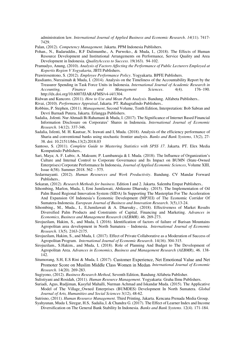administration law*. International Journal of Applied Business and Economic Research*. *14*(11). 7417- 7429.

- Palan, (2012). *Competency Management*. Jakarta. PPM Indonesia Publishers.
- Pohan., N., Badaruddin., R.F Dalimunthe., A. Purwoko., & Muda, I., (2018). The Effects of Human Resource Development and Institutional Arrangements on Performance, Service Quality and Area Development in Indonesia. *QualityAccess to Success*. 19(163). 94-102.
- Pramudyo, Anung, (2010). *Analysis of Factors Affecting the Performance of Public Lecturers Employed at Kopertis Region V Yogyakarta*, JBTI Publishers.
- Prawirosentono, S. (2012). *Employee Performance Policy*. Yogyakarta. BPFE Publishers.
- Rasdianto, Nurzaimah & Muda, I. (2014). Analysis on the Timeliness of the Accountability Report by the Treasurer Spending in Task Force Units in Indonesia. *International Journal of Academic Research in Accounting, Finance and Management Sciences*. 4(4). 176–190. http://dx.doi.org/10.6007/IJARAFMS/v4-i4/1304.
- Ridwan and Kuncoro. (2011). *How to Use and Mean Path Analysis*. Bandung. Alfabeta Publishers..
- Rivai, (2010). *Performance Appraisal*, Jakarta. PT. Rahagrafindo Publishers..
- Robbins, P. Stephen, (2011). *Management*, Second Volume, Tenth Edition, Interpretation: Bob Sabran and Devri Barnadi Putera, Jakarta. Erlangga Publishers.
- Sadalia, .Isfenti. Nur Ahmadi Bi Rahamani & Muda, I. (2017). The Significance of Internet Based Financial Information Disclosure on Corporates' Shares in Indonesia. *International Journal of Economic Research*. 14(12). 337-346.
- Sadalia, Isfenti, M. H. Kautsar, N. Irawati and I, Muda. (2018). Analysis of the efficiency performance of Sharia and conventional banks using stochastic frontier analysis. *Banks and Bank Systems*, 13(2), 27- 38. doi[: 10.21511/bbs.13\(2\).2018.03](http://dx.doi.org/10.21511/bbs.13%282%29.2018.03)
- Santoso, S. (2011). *Complete Guide to Mastering Statistics with SPSS 17*. Jakarta. PT. Elex Media Komputindo Publishers..
- Sari, Maya; A. F. Lubis; A. Maksum; P. Lumbanraja & I. Muda. (2018). The Influence of Organization's Culture and Internal Control to Corporate Governance and Its Impact on BUMN (State-Owned Enterprises) Corporate Performance In Indonesia, *Journal of Applied Economic Sciences*, Volume XIII, Issue 4(58). Summer 2018. 562 – 575.
- Sedarmayanti. (2012). *Human Resources and Work Productivity*. Bandung. CV Mandar Forward Publishers..
- Sekaran, (2012). *Research Methods for business*. Edition I and 2. Jakarta. Salemba Empat Publishers..
- Sihombing, Marlon, Muda, I, Erni Jumilawati, Abikusno Dharsuky. (2015). The Implementation of Oil Palm Based Regional Innovation System (SIDA) In Supporting The Masterplan For The Acceleration And Expansion Of Indonesia's Economic Development (MP3EI) of The Economic Corridor Of Sumatera-Indonesia. *European Journal of Business and Innovation Research*. 3(5),13-24.
- Sihombing., M., Muda., I., E.Jumilawati & A. Dharsuky., (2018). Effectiveness of Market Results Diversified Palm Products and Constraints of Capital, Financing and Marketing. *Advances in Economics, Business and Management Research (AEBMR)*. 46. 269-273.
- Sirojuzilam, Hakim, S., and Muda, I. (2016). Identification of factors of failure of Barisan Mountains Agropolitan area development in North Sumatera – Indonesia. *International Journal of Economic Research*. 13(5). 2163-2175.
- Sirojuzilam, Hakim, S., and Muda, I. (2017). Effect of Private Collaborative as a Moderation of Success of Agropolitan Program. *International Journal of Economic Research*. 14(16). 304-315.
- Sirojuzilam., S.Hakim., and Muda, I, (2018). Role of Planning And Budget to The Development of Agropolitan Area. *Advances in Economics, Business and Management Research (AEBMR)*, 46. 138- 142.
- Situmorang, S.H, E.S Rini & Muda, I. (2017). [Customer Experience, Net Emotional Value and Net](http://serialsjournals.com/articlesview.php?volumesno_id=1384&article_id=21573&volumes_id=1068&journals_id=41)  [Promoter Score on Muslim Middle Class Women in Medan](http://serialsjournals.com/articlesview.php?volumesno_id=1384&article_id=21573&volumes_id=1068&journals_id=41). *International Journal of Economic Research*. 14(20). 269-283.
- Sugiyono, (2012). *Business Research Method*, Seventh Edition, Bandung Alfabeta Publisher.
- Sulistiyani and Rosidah, (2011). *Human Resource Management*. Yogyakarta: Graha Ilmu Publishers.
- Suriadi, Agus, Rudjiman, Kasyful Mahalli, Nurman Achmad and Iskandar Muda. (2015). The Applicative Model of The Village\_Owned Enterprises (BUMDES) Development In North Sumatera. *Global Journal of Arts, Humanities and Social Sciences* 3(12), 48-62.

Sutrisno, (2011). *Human Resource Management*. Third Printing, Jakarta. Kencana Prenada Media Group.

Syahyunan, Muda, I, Siregar, H.S, Sadalia,I. & Chandra, G. (2017). The Effect of Learner Index and Income Diversification on The General Bank Stability In Indonesia. *Banks and Bank Systems*. 12(4). 171-184.